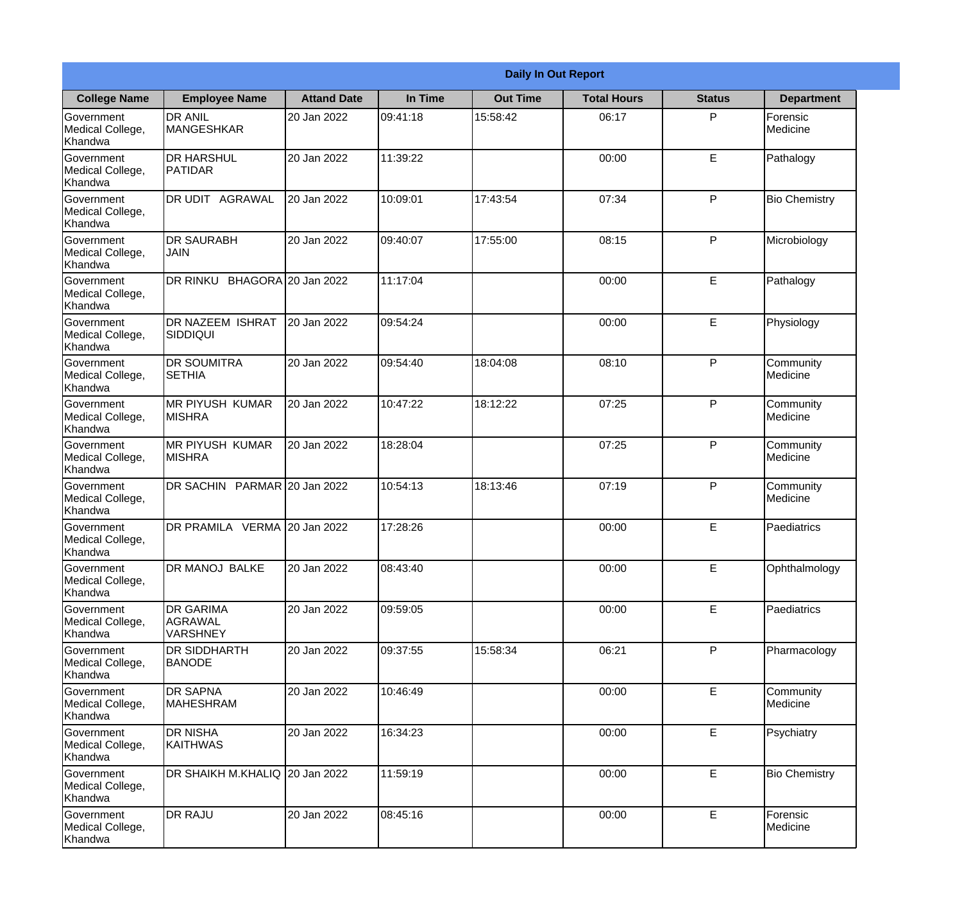|                                                  |                                                |                    |          | <b>Daily In Out Report</b> |                    |               |                       |
|--------------------------------------------------|------------------------------------------------|--------------------|----------|----------------------------|--------------------|---------------|-----------------------|
| <b>College Name</b>                              | <b>Employee Name</b>                           | <b>Attand Date</b> | In Time  | <b>Out Time</b>            | <b>Total Hours</b> | <b>Status</b> | <b>Department</b>     |
| Government<br>Medical College,<br>Khandwa        | <b>DR ANIL</b><br><b>MANGESHKAR</b>            | 20 Jan 2022        | 09:41:18 | 15:58:42                   | 06:17              | P             | Forensic<br>Medicine  |
| Government<br>Medical College,<br>Khandwa        | <b>DR HARSHUL</b><br>PATIDAR                   | 20 Jan 2022        | 11:39:22 |                            | 00:00              | E             | Pathalogy             |
| <b>Government</b><br>Medical College,<br>Khandwa | <b>IDR UDIT AGRAWAL</b>                        | 20 Jan 2022        | 10:09:01 | 17:43:54                   | 07:34              | P             | <b>Bio Chemistry</b>  |
| Government<br>Medical College,<br>Khandwa        | <b>IDR SAURABH</b><br><b>JAIN</b>              | 20 Jan 2022        | 09:40:07 | 17:55:00                   | 08:15              | P             | Microbiology          |
| Government<br>Medical College,<br>Khandwa        | DR RINKU BHAGORA 20 Jan 2022                   |                    | 11:17:04 |                            | 00:00              | E             | Pathalogy             |
| Government<br>Medical College,<br>Khandwa        | DR NAZEEM ISHRAT<br>SIDDIQUI                   | 20 Jan 2022        | 09:54:24 |                            | 00:00              | E             | Physiology            |
| Government<br>Medical College,<br>Khandwa        | <b>DR SOUMITRA</b><br><b>SETHIA</b>            | 20 Jan 2022        | 09:54:40 | 18:04:08                   | 08:10              | P             | Community<br>Medicine |
| Government<br>Medical College,<br>Khandwa        | <b>MR PIYUSH KUMAR</b><br><b>MISHRA</b>        | 20 Jan 2022        | 10:47:22 | 18:12:22                   | 07:25              | P             | Community<br>Medicine |
| Government<br>Medical College,<br>Khandwa        | <b>MR PIYUSH KUMAR</b><br><b>MISHRA</b>        | 20 Jan 2022        | 18:28:04 |                            | 07:25              | P             | Community<br>Medicine |
| Government<br>Medical College,<br>Khandwa        | DR SACHIN PARMAR 20 Jan 2022                   |                    | 10:54:13 | 18:13:46                   | 07:19              | P             | Community<br>Medicine |
| Government<br>Medical College,<br>Khandwa        | DR PRAMILA VERMA 20 Jan 2022                   |                    | 17:28:26 |                            | 00:00              | E             | Paediatrics           |
| Government<br>Medical College,<br>Khandwa        | DR MANOJ BALKE                                 | 20 Jan 2022        | 08:43:40 |                            | 00:00              | E             | Ophthalmology         |
| Government<br>Medical College,<br>Khandwa        | <b>DR GARIMA</b><br>AGRAWAL<br><b>VARSHNEY</b> | 20 Jan 2022        | 09:59:05 |                            | 00:00              | E             | Paediatrics           |
| <b>Government</b><br>Medical College,<br>Khandwa | <b>DR SIDDHARTH</b><br><b>BANODE</b>           | 20 Jan 2022        | 09:37:55 | 15:58:34                   | 06:21              | P             | Pharmacology          |
| Government<br>Medical College,<br>Khandwa        | <b>DR SAPNA</b><br><b>MAHESHRAM</b>            | 20 Jan 2022        | 10:46:49 |                            | 00:00              | E             | Community<br>Medicine |
| Government<br>Medical College,<br>Khandwa        | <b>DR NISHA</b><br><b>KAITHWAS</b>             | 20 Jan 2022        | 16:34:23 |                            | 00:00              | $\mathsf E$   | Psychiatry            |
| Government<br>Medical College,<br>Khandwa        | DR SHAIKH M.KHALIQ 20 Jan 2022                 |                    | 11:59:19 |                            | 00:00              | E             | <b>Bio Chemistry</b>  |
| Government<br>Medical College,<br>Khandwa        | <b>DR RAJU</b>                                 | 20 Jan 2022        | 08:45:16 |                            | 00:00              | E             | Forensic<br>Medicine  |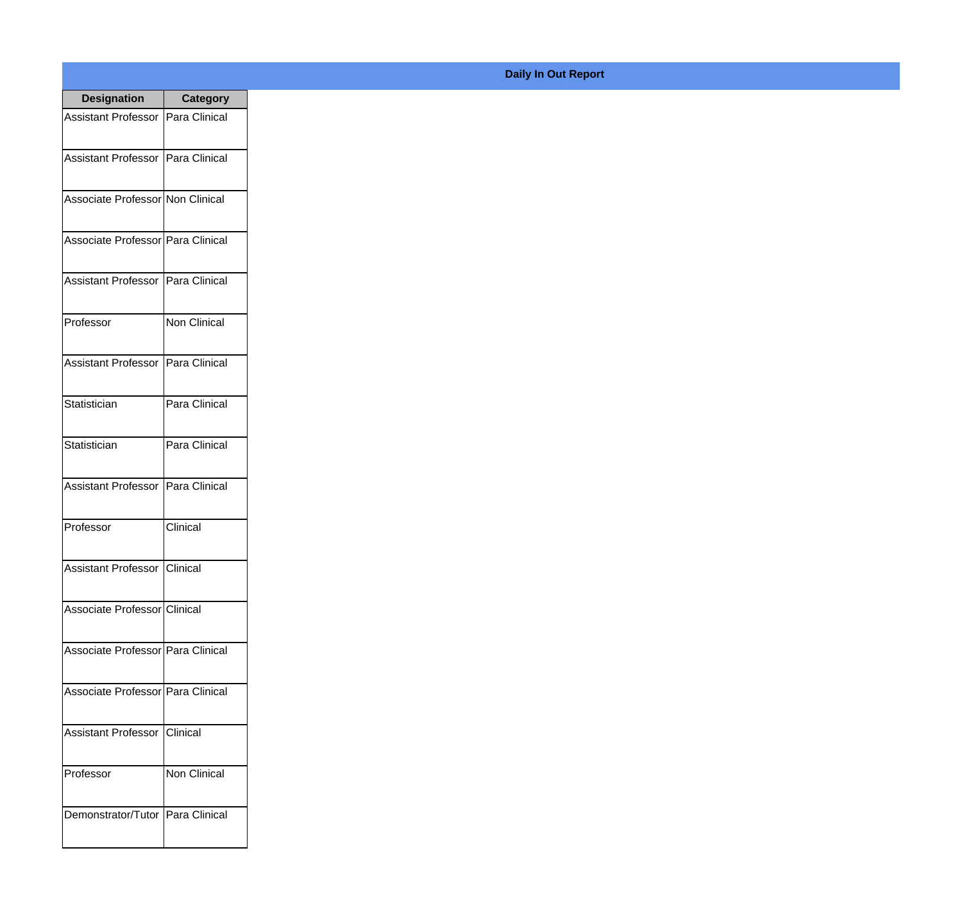| <b>Designation</b>                  | <b>Category</b>     |
|-------------------------------------|---------------------|
| Assistant Professor   Para Clinical |                     |
| Assistant Professor   Para Clinical |                     |
| Associate Professor Non Clinical    |                     |
| Associate Professor Para Clinical   |                     |
| <b>Assistant Professor</b>          | Para Clinical       |
| Professor                           | <b>Non Clinical</b> |
| Assistant Professor   Para Clinical |                     |
| Statistician                        | Para Clinical       |
| Statistician                        | Para Clinical       |
| <b>Assistant Professor</b>          | Para Clinical       |
| Professor                           | Clinical            |
| Assistant Professor Clinical        |                     |
| Associate Professor Clinical        |                     |
| Associate Professor Para Clinical   |                     |
| Associate Professor Para Clinical   |                     |
| <b>Assistant Professor</b>          | Clinical            |
| Professor                           | Non Clinical        |
| Demonstrator/Tutor   Para Clinical  |                     |

## **Daily In Out Report**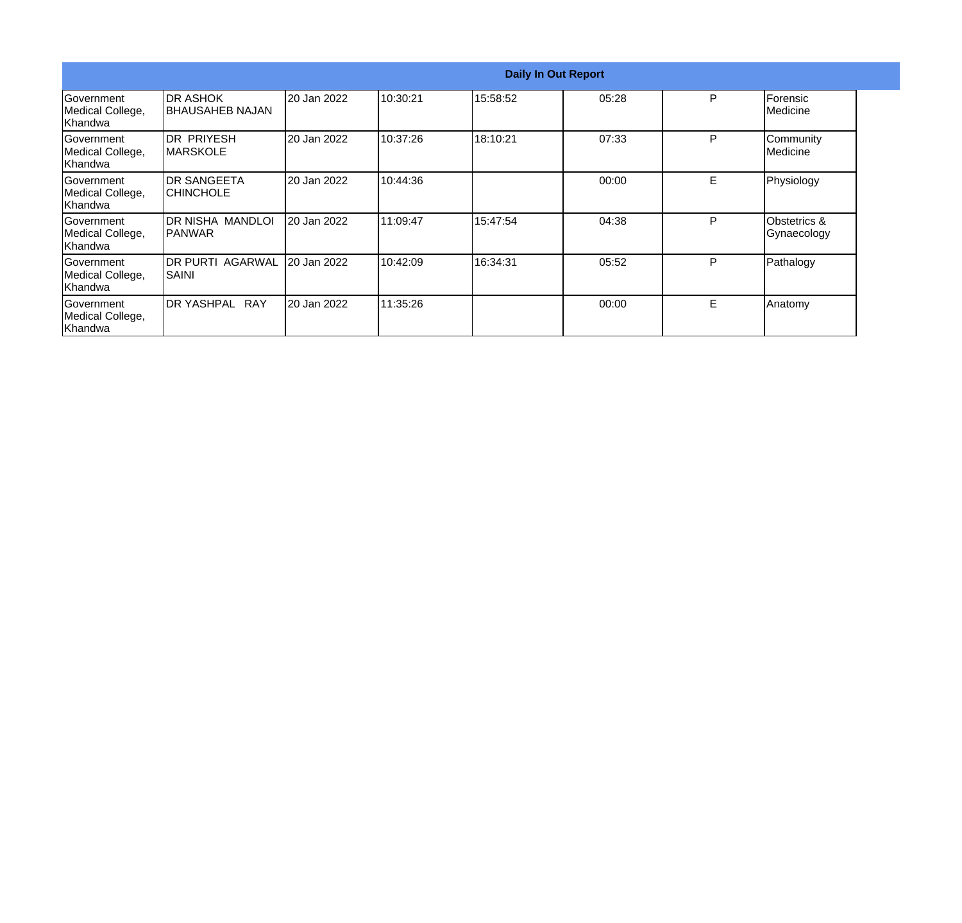|                                                   |                                             |             |          | <b>Daily In Out Report</b> |       |   |                                        |
|---------------------------------------------------|---------------------------------------------|-------------|----------|----------------------------|-------|---|----------------------------------------|
| <b>Government</b><br>Medical College,<br>Khandwa  | <b>DR ASHOK</b><br><b>I</b> BHAUSAHEB NAJAN | 20 Jan 2022 | 10:30:21 | 15:58:52                   | 05:28 | P | Forensic<br>Medicine                   |
| <b>Government</b><br>Medical College,<br>lKhandwa | <b>IDR PRIYESH</b><br>IMARSKOLE             | 20 Jan 2022 | 10:37:26 | 18:10:21                   | 07:33 | P | Community<br>Medicine                  |
| <b>Sovernment</b><br>Medical College,<br> Khandwa | <b>IDR SANGEETA</b><br>ICHINCHOLE           | 20 Jan 2022 | 10:44:36 |                            | 00:00 | E | Physiology                             |
| <b>Government</b><br>Medical College,<br>Khandwa  | IDR NISHA MANDLOI<br>IPANWAR                | 20 Jan 2022 | 11:09:47 | 15:47:54                   | 04:38 | P | <b>Obstetrics &amp;</b><br>Gynaecology |
| <b>Government</b><br>Medical College,<br>Khandwa  | <b>DR PURTI AGARWAL</b><br> SAINI           | 20 Jan 2022 | 10:42:09 | 16:34:31                   | 05:52 | P | Pathalogy                              |
| Government<br>Medical College,<br>Khandwa         | <b>IDR YASHPAL RAY</b>                      | 20 Jan 2022 | 11:35:26 |                            | 00:00 | E | Anatomy                                |